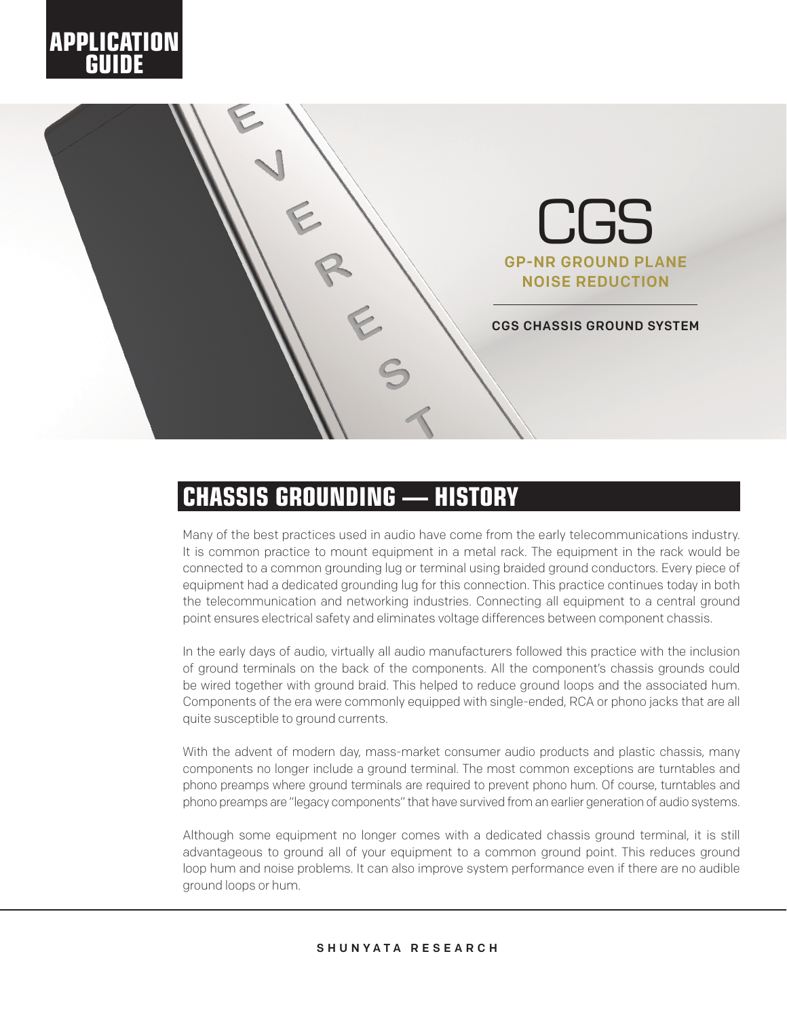



## **CHASSIS GROUNDING — HISTORY**

Many of the best practices used in audio have come from the early telecommunications industry. It is common practice to mount equipment in a metal rack. The equipment in the rack would be connected to a common grounding lug or terminal using braided ground conductors. Every piece of equipment had a dedicated grounding lug for this connection. This practice continues today in both the telecommunication and networking industries. Connecting all equipment to a central ground point ensures electrical safety and eliminates voltage differences between component chassis.

In the early days of audio, virtually all audio manufacturers followed this practice with the inclusion of ground terminals on the back of the components. All the component's chassis grounds could be wired together with ground braid. This helped to reduce ground loops and the associated hum. Components of the era were commonly equipped with single-ended, RCA or phono jacks that are all quite susceptible to ground currents.

With the advent of modern day, mass-market consumer audio products and plastic chassis, many components no longer include a ground terminal. The most common exceptions are turntables and phono preamps where ground terminals are required to prevent phono hum. Of course, turntables and phono preamps are "legacy components" that have survived from an earlier generation of audio systems.

Although some equipment no longer comes with a dedicated chassis ground terminal, it is still advantageous to ground all of your equipment to a common ground point. This reduces ground loop hum and noise problems. It can also improve system performance even if there are no audible ground loops or hum.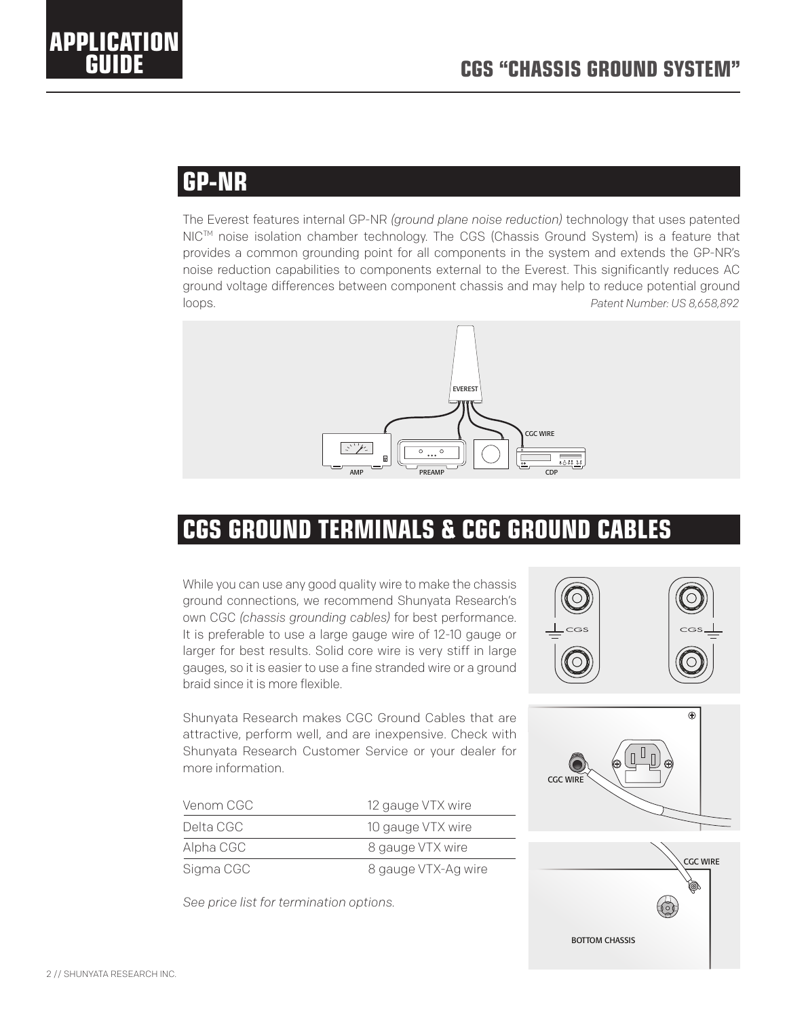### **GP-NR**

**APPLICATION** 

ground voltage differences between component chassis and may help to reduce potential ground<br>Isaas The Everest features internal GP-NR *(ground plane noise reduction)* technology that uses patented NIC™ noise isolation chamber technology. The CGS (Chassis Ground System) is a feature that provides a common grounding point for all components in the system and extends the GP-NR's noise reduction capabilities to components external to the Everest. This significantly reduces AC loops. *Patent Number: US 8,658,892*



## CGS WIRE **CGS GROUND TERMINALS & CGC GROUND CABLES**

ground connections, we recommend Shunyata Research's While you can use any good quality wire to make the chassis own CGC *(chassis grounding cables)* for best performance. It is preferable to use a large gauge wire of 12-10 gauge or larger for best results. Solid core wire is very stiff in large gauges, so it is easier to use a fine stranded wire or a ground braid since it is more flexible.

Shunyata Research makes CGC Ground Cables that are attractive, perform well, and are inexpensive. Check with Shunyata Research Customer Service or your dealer for more information.

| Venom CGC<br>Delta CGC | 12 gauge VTX wire<br>10 gauge VTX wire |
|------------------------|----------------------------------------|
|                        |                                        |
| Sigma CGC              | 8 gauge VTX-Ag wire                    |

*See price list for termination options.*



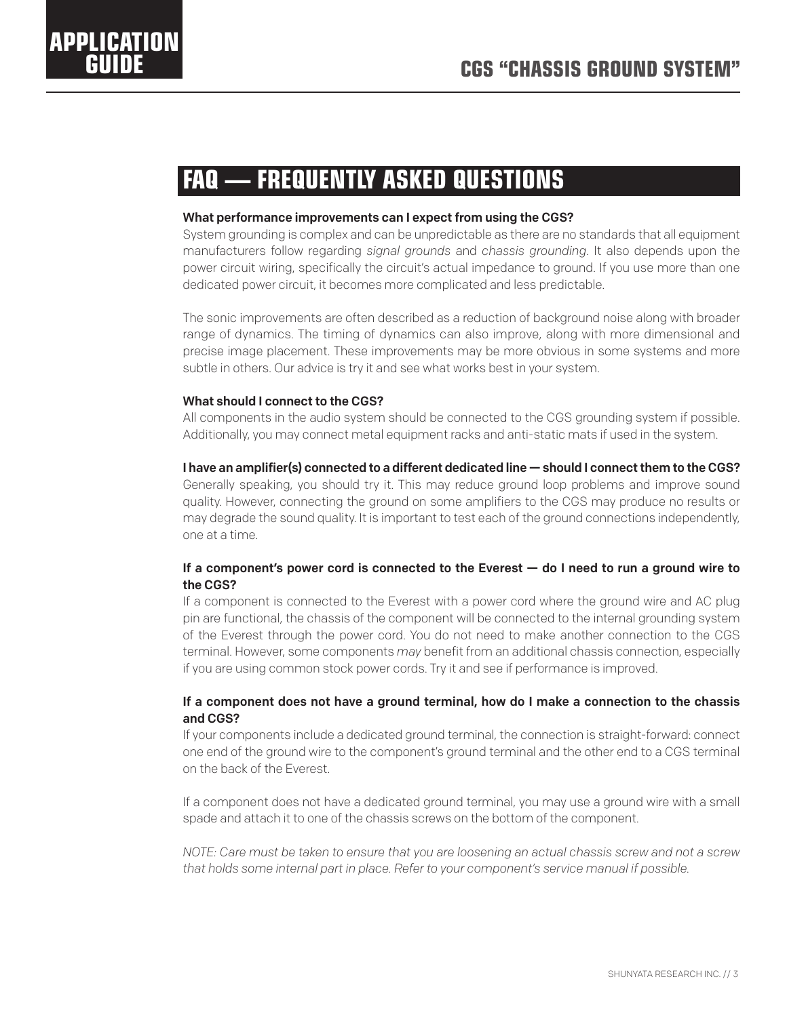# **APPLICATION**

## **FAQ — FREQUENTLY ASKED QUESTIONS**

#### What performance improvements can I expect from using the CGS?

System grounding is complex and can be unpredictable as there are no standards that all equipment manufacturers follow regarding *signal grounds* and *chassis grounding*. It also depends upon the power circuit wiring, specifically the circuit's actual impedance to ground. If you use more than one dedicated power circuit, it becomes more complicated and less predictable.

The sonic improvements are often described as a reduction of background noise along with broader range of dynamics. The timing of dynamics can also improve, along with more dimensional and precise image placement. These improvements may be more obvious in some systems and more subtle in others. Our advice is try it and see what works best in your system.

#### What should I connect to the CGS?

All components in the audio system should be connected to the CGS grounding system if possible. Additionally, you may connect metal equipment racks and anti-static mats if used in the system.

#### I have an amplifier(s) connected to a different dedicated line  $-$  should I connect them to the CGS?

Generally speaking, you should try it. This may reduce ground loop problems and improve sound quality. However, connecting the ground on some amplifiers to the CGS may produce no results or may degrade the sound quality. It is important to test each of the ground connections independently, one at a time.

#### If a component's power cord is connected to the Everest — do I need to run a ground wire to the CGS?

If a component is connected to the Everest with a power cord where the ground wire and AC plug pin are functional, the chassis of the component will be connected to the internal grounding system of the Everest through the power cord. You do not need to make another connection to the CGS terminal. However, some components *may* benefit from an additional chassis connection, especially if you are using common stock power cords. Try it and see if performance is improved.

#### If a component does not have a ground terminal, how do I make a connection to the chassis and CGS?

If your components include a dedicated ground terminal, the connection is straight-forward: connect one end of the ground wire to the component's ground terminal and the other end to a CGS terminal on the back of the Everest.

If a component does not have a dedicated ground terminal, you may use a ground wire with a small spade and attach it to one of the chassis screws on the bottom of the component.

*NOTE: Care must be taken to ensure that you are loosening an actual chassis screw and not a screw that holds some internal part in place. Refer to your component's service manual if possible.*